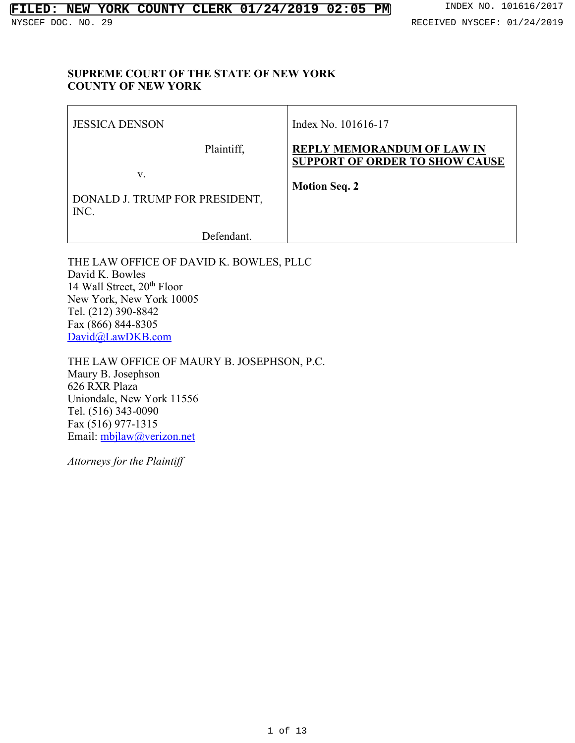## **SUPREME COURT OF THE STATE OF NEW YORK COUNTY OF NEW YORK**

| <b>JESSICA DENSON</b>                                      | Index No. 101616-17                                                                                |
|------------------------------------------------------------|----------------------------------------------------------------------------------------------------|
| Plaintiff,<br>V.<br>DONALD J. TRUMP FOR PRESIDENT,<br>INC. | <b>REPLY MEMORANDUM OF LAW IN</b><br><b>SUPPORT OF ORDER TO SHOW CAUSE</b><br><b>Motion Seq. 2</b> |
| Defendant.                                                 |                                                                                                    |

THE LAW OFFICE OF DAVID K. BOWLES, PLLC David K. Bowles 14 Wall Street, 20<sup>th</sup> Floor New York, New York 10005 Tel. (212) 390-8842 Fax (866) 844-8305 David@LawDKB.com

THE LAW OFFICE OF MAURY B. JOSEPHSON, P.C. Maury B. Josephson 626 RXR Plaza Uniondale, New York 11556 Tel. (516) 343-0090 Fax (516) 977-1315 Email: mbjlaw@verizon.net

*Attorneys for the Plaintiff*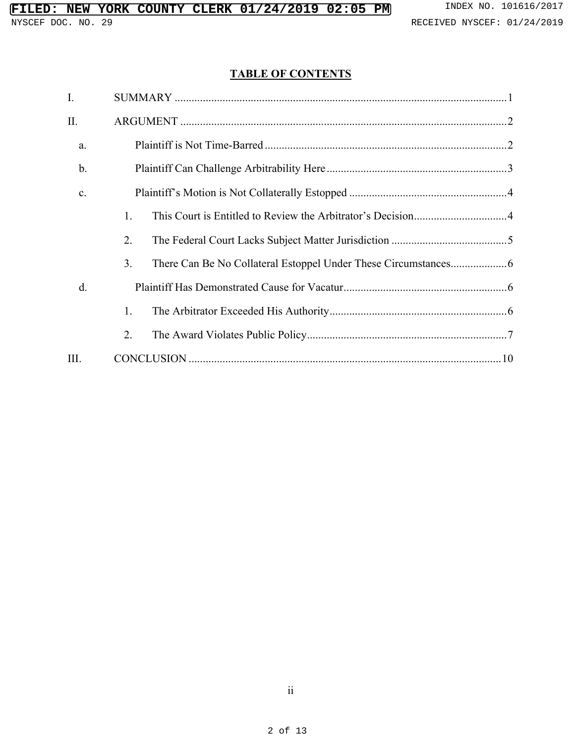# **TABLE OF CONTENTS**

| I. |    |  |
|----|----|--|
| П. |    |  |
| a. |    |  |
| b. |    |  |
| c. |    |  |
|    | 1. |  |
|    | 2. |  |
|    | 3. |  |
| d. |    |  |
|    | 1. |  |
|    | 2. |  |
| Ш. |    |  |

ii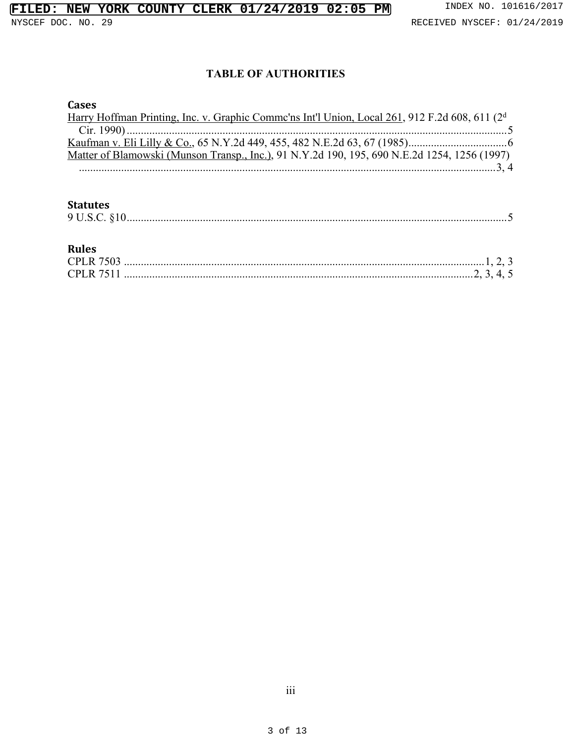## **TABLE OF AUTHORITIES**

### **Cases**

| Harry Hoffman Printing, Inc. v. Graphic Commc'ns Int'l Union, Local 261, 912 F.2d 608, 611 (2 <sup>d</sup> |  |
|------------------------------------------------------------------------------------------------------------|--|
|                                                                                                            |  |
|                                                                                                            |  |
| Matter of Blamowski (Munson Transp., Inc.), 91 N.Y.2d 190, 195, 690 N.E.2d 1254, 1256 (1997)               |  |
|                                                                                                            |  |

## **Statutes**

|--|--|

## **Rules**

| <b>CPLR 7511</b> |  |  |
|------------------|--|--|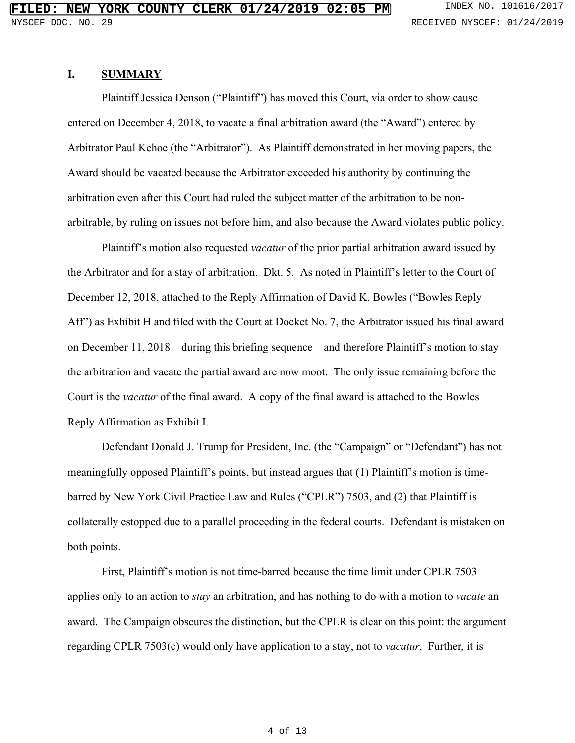#### **I. SUMMARY**

Plaintiff Jessica Denson ("Plaintiff") has moved this Court, via order to show cause entered on December 4, 2018, to vacate a final arbitration award (the "Award") entered by Arbitrator Paul Kehoe (the "Arbitrator"). As Plaintiff demonstrated in her moving papers, the Award should be vacated because the Arbitrator exceeded his authority by continuing the arbitration even after this Court had ruled the subject matter of the arbitration to be nonarbitrable, by ruling on issues not before him, and also because the Award violates public policy.

Plaintiff's motion also requested *vacatur* of the prior partial arbitration award issued by the Arbitrator and for a stay of arbitration. Dkt. 5. As noted in Plaintiff's letter to the Court of December 12, 2018, attached to the Reply Affirmation of David K. Bowles ("Bowles Reply Aff") as Exhibit H and filed with the Court at Docket No. 7, the Arbitrator issued his final award on December 11, 2018 – during this briefing sequence – and therefore Plaintiff's motion to stay the arbitration and vacate the partial award are now moot. The only issue remaining before the Court is the *vacatur* of the final award. A copy of the final award is attached to the Bowles Reply Affirmation as Exhibit I.

Defendant Donald J. Trump for President, Inc. (the "Campaign" or "Defendant") has not meaningfully opposed Plaintiff's points, but instead argues that (1) Plaintiff's motion is timebarred by New York Civil Practice Law and Rules ("CPLR") 7503, and (2) that Plaintiff is collaterally estopped due to a parallel proceeding in the federal courts. Defendant is mistaken on both points.

First, Plaintiff's motion is not time-barred because the time limit under CPLR 7503 applies only to an action to *stay* an arbitration, and has nothing to do with a motion to *vacate* an award. The Campaign obscures the distinction, but the CPLR is clear on this point: the argument regarding CPLR 7503(c) would only have application to a stay, not to *vacatur*. Further, it is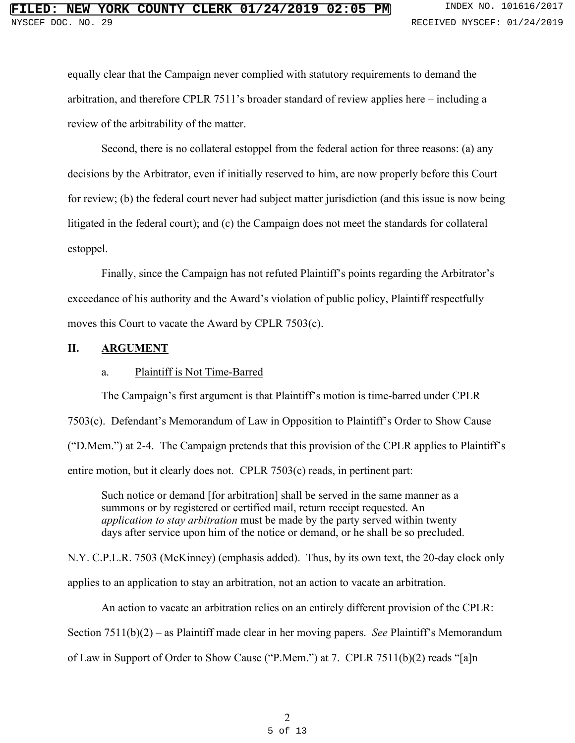## **NEW YORK COUNTY CLERK 01/24/2019 02:05 PM** INDEX NO. 101616/2017 NYSCEF DOC. NO. 29 **RECEIVED NYSCEF: 01/24/2019**

equally clear that the Campaign never complied with statutory requirements to demand the arbitration, and therefore CPLR 7511's broader standard of review applies here – including a review of the arbitrability of the matter.

Second, there is no collateral estoppel from the federal action for three reasons: (a) any decisions by the Arbitrator, even if initially reserved to him, are now properly before this Court for review; (b) the federal court never had subject matter jurisdiction (and this issue is now being litigated in the federal court); and (c) the Campaign does not meet the standards for collateral estoppel.

Finally, since the Campaign has not refuted Plaintiff's points regarding the Arbitrator's exceedance of his authority and the Award's violation of public policy, Plaintiff respectfully moves this Court to vacate the Award by CPLR 7503(c).

### **II. ARGUMENT**

#### a. Plaintiff is Not Time-Barred

The Campaign's first argument is that Plaintiff's motion is time-barred under CPLR 7503(c). Defendant's Memorandum of Law in Opposition to Plaintiff's Order to Show Cause ("D.Mem.") at 2-4. The Campaign pretends that this provision of the CPLR applies to Plaintiff's entire motion, but it clearly does not. CPLR 7503(c) reads, in pertinent part:

Such notice or demand [for arbitration] shall be served in the same manner as a summons or by registered or certified mail, return receipt requested. An *application to stay arbitration* must be made by the party served within twenty days after service upon him of the notice or demand, or he shall be so precluded.

N.Y. C.P.L.R. 7503 (McKinney) (emphasis added). Thus, by its own text, the 20-day clock only applies to an application to stay an arbitration, not an action to vacate an arbitration.

An action to vacate an arbitration relies on an entirely different provision of the CPLR: Section 7511(b)(2) – as Plaintiff made clear in her moving papers. *See* Plaintiff's Memorandum of Law in Support of Order to Show Cause ("P.Mem.") at 7. CPLR 7511(b)(2) reads "[a]n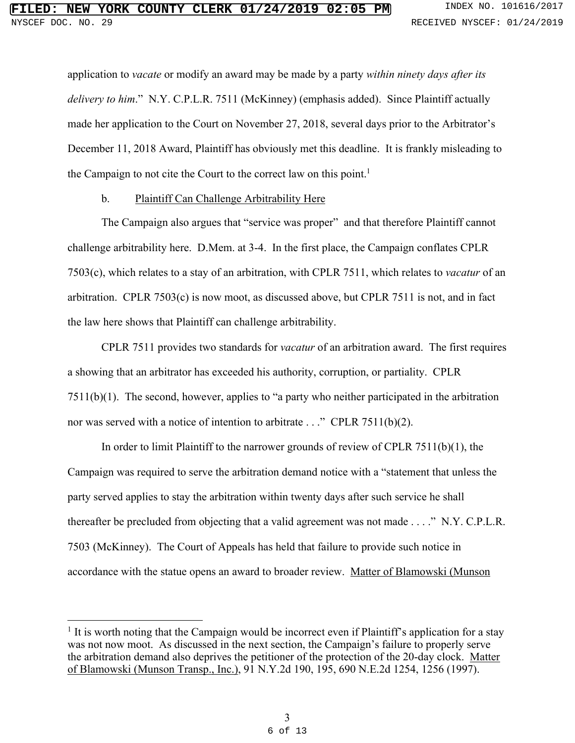application to *vacate* or modify an award may be made by a party *within ninety days after its delivery to him*." N.Y. C.P.L.R. 7511 (McKinney) (emphasis added). Since Plaintiff actually made her application to the Court on November 27, 2018, several days prior to the Arbitrator's December 11, 2018 Award, Plaintiff has obviously met this deadline. It is frankly misleading to the Campaign to not cite the Court to the correct law on this point.<sup>1</sup>

#### b. Plaintiff Can Challenge Arbitrability Here

The Campaign also argues that "service was proper" and that therefore Plaintiff cannot challenge arbitrability here. D.Mem. at 3-4. In the first place, the Campaign conflates CPLR 7503(c), which relates to a stay of an arbitration, with CPLR 7511, which relates to *vacatur* of an arbitration. CPLR 7503(c) is now moot, as discussed above, but CPLR 7511 is not, and in fact the law here shows that Plaintiff can challenge arbitrability.

CPLR 7511 provides two standards for *vacatur* of an arbitration award. The first requires a showing that an arbitrator has exceeded his authority, corruption, or partiality. CPLR 7511(b)(1). The second, however, applies to "a party who neither participated in the arbitration nor was served with a notice of intention to arbitrate . . ." CPLR 7511(b)(2).

In order to limit Plaintiff to the narrower grounds of review of CPLR 7511(b)(1), the Campaign was required to serve the arbitration demand notice with a "statement that unless the party served applies to stay the arbitration within twenty days after such service he shall thereafter be precluded from objecting that a valid agreement was not made . . . ." N.Y. C.P.L.R. 7503 (McKinney). The Court of Appeals has held that failure to provide such notice in accordance with the statue opens an award to broader review. Matter of Blamowski (Munson

 $<sup>1</sup>$  It is worth noting that the Campaign would be incorrect even if Plaintiff's application for a stay</sup> was not now moot. As discussed in the next section, the Campaign's failure to properly serve the arbitration demand also deprives the petitioner of the protection of the 20-day clock. Matter of Blamowski (Munson Transp., Inc.), 91 N.Y.2d 190, 195, 690 N.E.2d 1254, 1256 (1997).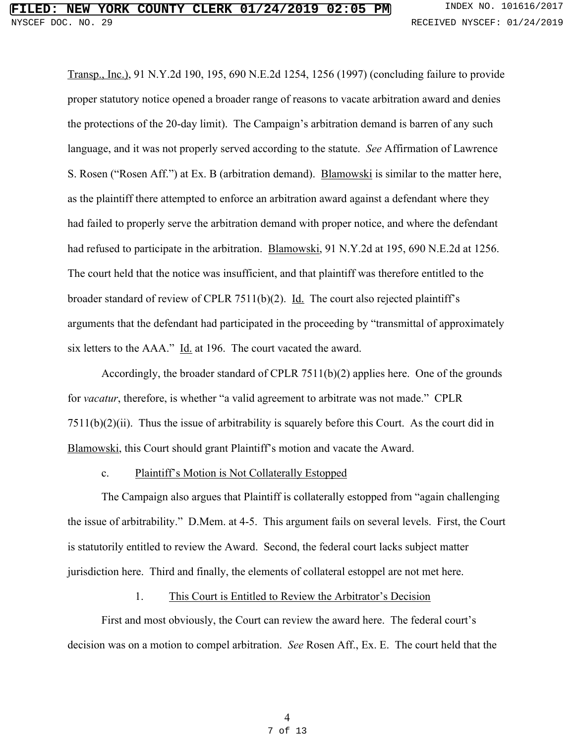Transp., Inc.), 91 N.Y.2d 190, 195, 690 N.E.2d 1254, 1256 (1997) (concluding failure to provide proper statutory notice opened a broader range of reasons to vacate arbitration award and denies the protections of the 20-day limit). The Campaign's arbitration demand is barren of any such language, and it was not properly served according to the statute. *See* Affirmation of Lawrence S. Rosen ("Rosen Aff.") at Ex. B (arbitration demand). Blamowski is similar to the matter here, as the plaintiff there attempted to enforce an arbitration award against a defendant where they had failed to properly serve the arbitration demand with proper notice, and where the defendant had refused to participate in the arbitration. Blamowski, 91 N.Y.2d at 195, 690 N.E.2d at 1256. The court held that the notice was insufficient, and that plaintiff was therefore entitled to the broader standard of review of CPLR 7511(b)(2). Id. The court also rejected plaintiff's arguments that the defendant had participated in the proceeding by "transmittal of approximately six letters to the AAA." Id. at 196. The court vacated the award.

Accordingly, the broader standard of CPLR 7511(b)(2) applies here. One of the grounds for *vacatur*, therefore, is whether "a valid agreement to arbitrate was not made." CPLR  $7511(b)(2)(ii)$ . Thus the issue of arbitrability is squarely before this Court. As the court did in Blamowski, this Court should grant Plaintiff's motion and vacate the Award.

#### c. Plaintiff's Motion is Not Collaterally Estopped

The Campaign also argues that Plaintiff is collaterally estopped from "again challenging the issue of arbitrability." D.Mem. at 4-5. This argument fails on several levels. First, the Court is statutorily entitled to review the Award. Second, the federal court lacks subject matter jurisdiction here. Third and finally, the elements of collateral estoppel are not met here.

#### 1. This Court is Entitled to Review the Arbitrator's Decision

First and most obviously, the Court can review the award here. The federal court's decision was on a motion to compel arbitration. *See* Rosen Aff., Ex. E. The court held that the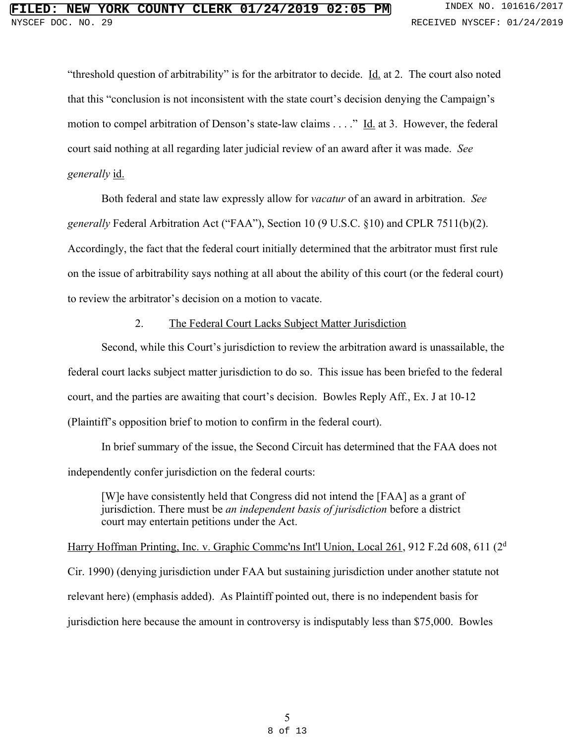"threshold question of arbitrability" is for the arbitrator to decide. Id. at 2. The court also noted that this "conclusion is not inconsistent with the state court's decision denying the Campaign's motion to compel arbitration of Denson's state-law claims . . . ." Id. at 3. However, the federal court said nothing at all regarding later judicial review of an award after it was made. *See generally* id.

Both federal and state law expressly allow for *vacatur* of an award in arbitration. *See generally* Federal Arbitration Act ("FAA"), Section 10 (9 U.S.C. §10) and CPLR 7511(b)(2). Accordingly, the fact that the federal court initially determined that the arbitrator must first rule on the issue of arbitrability says nothing at all about the ability of this court (or the federal court) to review the arbitrator's decision on a motion to vacate.

#### 2. The Federal Court Lacks Subject Matter Jurisdiction

Second, while this Court's jurisdiction to review the arbitration award is unassailable, the federal court lacks subject matter jurisdiction to do so. This issue has been briefed to the federal court, and the parties are awaiting that court's decision. Bowles Reply Aff., Ex. J at 10-12 (Plaintiff's opposition brief to motion to confirm in the federal court).

In brief summary of the issue, the Second Circuit has determined that the FAA does not independently confer jurisdiction on the federal courts:

[W]e have consistently held that Congress did not intend the [FAA] as a grant of jurisdiction. There must be *an independent basis of jurisdiction* before a district court may entertain petitions under the Act.

Harry Hoffman Printing, Inc. v. Graphic Commc'ns Int'l Union, Local 261, 912 F.2d 608, 611 (2<sup>d</sup> Cir. 1990) (denying jurisdiction under FAA but sustaining jurisdiction under another statute not relevant here) (emphasis added). As Plaintiff pointed out, there is no independent basis for jurisdiction here because the amount in controversy is indisputably less than \$75,000. Bowles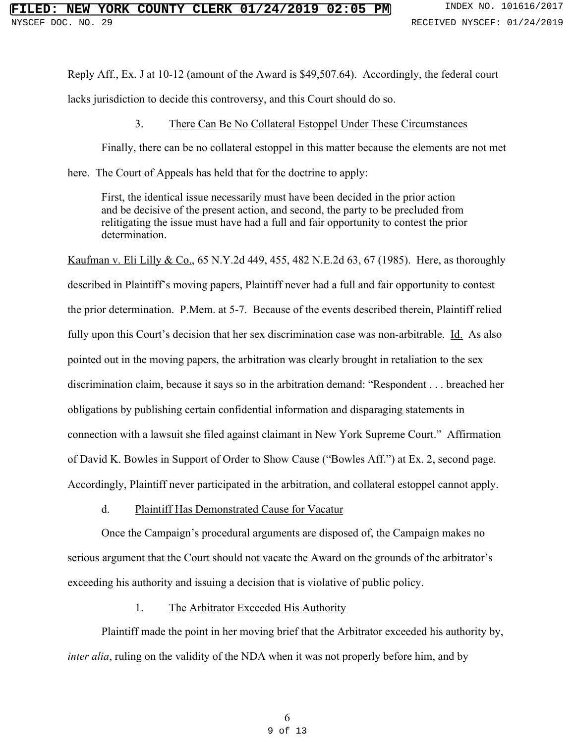Reply Aff., Ex. J at 10-12 (amount of the Award is \$49,507.64). Accordingly, the federal court

lacks jurisdiction to decide this controversy, and this Court should do so.

## 3. There Can Be No Collateral Estoppel Under These Circumstances

Finally, there can be no collateral estoppel in this matter because the elements are not met

here. The Court of Appeals has held that for the doctrine to apply:

First, the identical issue necessarily must have been decided in the prior action and be decisive of the present action, and second, the party to be precluded from relitigating the issue must have had a full and fair opportunity to contest the prior determination.

Kaufman v. Eli Lilly & Co., 65 N.Y.2d 449, 455, 482 N.E.2d 63, 67 (1985). Here, as thoroughly described in Plaintiff's moving papers, Plaintiff never had a full and fair opportunity to contest the prior determination. P.Mem. at 5-7. Because of the events described therein, Plaintiff relied fully upon this Court's decision that her sex discrimination case was non-arbitrable. Id. As also pointed out in the moving papers, the arbitration was clearly brought in retaliation to the sex discrimination claim, because it says so in the arbitration demand: "Respondent . . . breached her obligations by publishing certain confidential information and disparaging statements in connection with a lawsuit she filed against claimant in New York Supreme Court." Affirmation of David K. Bowles in Support of Order to Show Cause ("Bowles Aff.") at Ex. 2, second page. Accordingly, Plaintiff never participated in the arbitration, and collateral estoppel cannot apply.

#### d. Plaintiff Has Demonstrated Cause for Vacatur

Once the Campaign's procedural arguments are disposed of, the Campaign makes no serious argument that the Court should not vacate the Award on the grounds of the arbitrator's exceeding his authority and issuing a decision that is violative of public policy.

1. The Arbitrator Exceeded His Authority

Plaintiff made the point in her moving brief that the Arbitrator exceeded his authority by, *inter alia*, ruling on the validity of the NDA when it was not properly before him, and by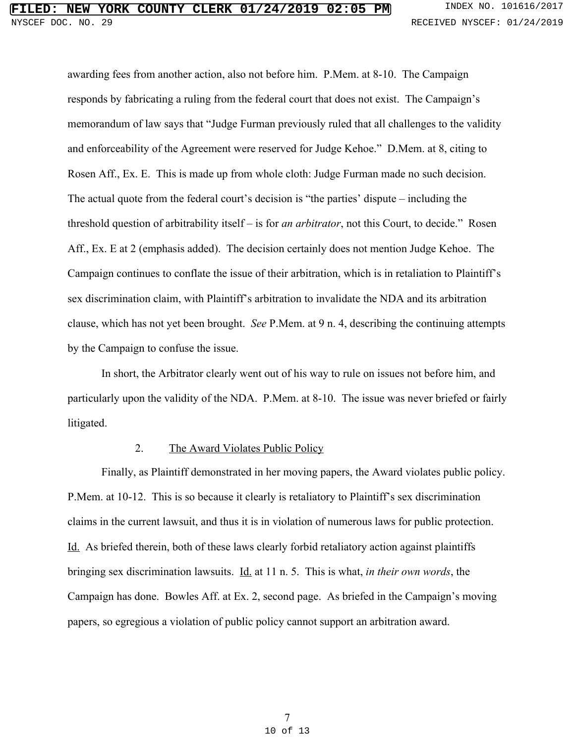# **FIRE COUNTY CLERK 01/24/2019 02:05 PM** INDEX NO. 101616/2017 NYSCEF DOC. NO. 29 RECEIVED NYSCEF: 01/24/2019

awarding fees from another action, also not before him. P.Mem. at 8-10. The Campaign responds by fabricating a ruling from the federal court that does not exist. The Campaign's memorandum of law says that "Judge Furman previously ruled that all challenges to the validity and enforceability of the Agreement were reserved for Judge Kehoe." D.Mem. at 8, citing to Rosen Aff., Ex. E. This is made up from whole cloth: Judge Furman made no such decision. The actual quote from the federal court's decision is "the parties' dispute – including the threshold question of arbitrability itself – is for *an arbitrator*, not this Court, to decide." Rosen Aff., Ex. E at 2 (emphasis added). The decision certainly does not mention Judge Kehoe. The Campaign continues to conflate the issue of their arbitration, which is in retaliation to Plaintiff's sex discrimination claim, with Plaintiff's arbitration to invalidate the NDA and its arbitration clause, which has not yet been brought. *See* P.Mem. at 9 n. 4, describing the continuing attempts by the Campaign to confuse the issue.

In short, the Arbitrator clearly went out of his way to rule on issues not before him, and particularly upon the validity of the NDA. P.Mem. at 8-10. The issue was never briefed or fairly litigated.

#### 2. The Award Violates Public Policy

Finally, as Plaintiff demonstrated in her moving papers, the Award violates public policy. P.Mem. at 10-12. This is so because it clearly is retaliatory to Plaintiff's sex discrimination claims in the current lawsuit, and thus it is in violation of numerous laws for public protection. Id. As briefed therein, both of these laws clearly forbid retaliatory action against plaintiffs bringing sex discrimination lawsuits. Id. at 11 n. 5. This is what, *in their own words*, the Campaign has done. Bowles Aff. at Ex. 2, second page. As briefed in the Campaign's moving papers, so egregious a violation of public policy cannot support an arbitration award.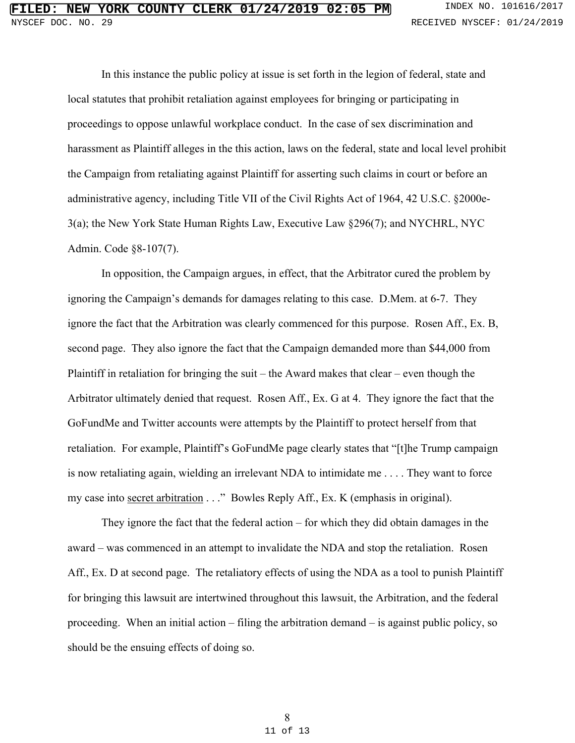In this instance the public policy at issue is set forth in the legion of federal, state and local statutes that prohibit retaliation against employees for bringing or participating in proceedings to oppose unlawful workplace conduct. In the case of sex discrimination and harassment as Plaintiff alleges in the this action, laws on the federal, state and local level prohibit the Campaign from retaliating against Plaintiff for asserting such claims in court or before an administrative agency, including Title VII of the Civil Rights Act of 1964, 42 U.S.C. §2000e-3(a); the New York State Human Rights Law, Executive Law §296(7); and NYCHRL, NYC Admin. Code §8-107(7).

In opposition, the Campaign argues, in effect, that the Arbitrator cured the problem by ignoring the Campaign's demands for damages relating to this case. D.Mem. at 6-7. They ignore the fact that the Arbitration was clearly commenced for this purpose. Rosen Aff., Ex. B, second page. They also ignore the fact that the Campaign demanded more than \$44,000 from Plaintiff in retaliation for bringing the suit – the Award makes that clear – even though the Arbitrator ultimately denied that request. Rosen Aff., Ex. G at 4. They ignore the fact that the GoFundMe and Twitter accounts were attempts by the Plaintiff to protect herself from that retaliation. For example, Plaintiff's GoFundMe page clearly states that "[t]he Trump campaign is now retaliating again, wielding an irrelevant NDA to intimidate me . . . . They want to force my case into secret arbitration . . ." Bowles Reply Aff., Ex. K (emphasis in original).

They ignore the fact that the federal action – for which they did obtain damages in the award – was commenced in an attempt to invalidate the NDA and stop the retaliation. Rosen Aff., Ex. D at second page. The retaliatory effects of using the NDA as a tool to punish Plaintiff for bringing this lawsuit are intertwined throughout this lawsuit, the Arbitration, and the federal proceeding. When an initial action – filing the arbitration demand – is against public policy, so should be the ensuing effects of doing so.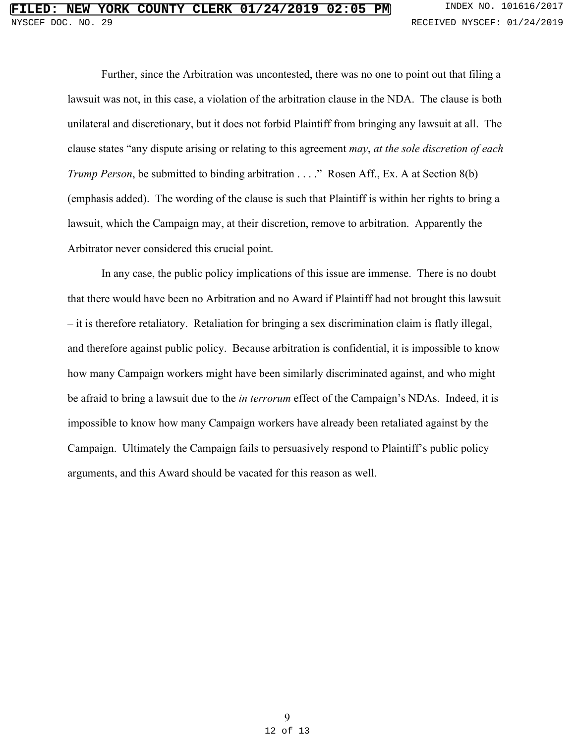Further, since the Arbitration was uncontested, there was no one to point out that filing a lawsuit was not, in this case, a violation of the arbitration clause in the NDA. The clause is both unilateral and discretionary, but it does not forbid Plaintiff from bringing any lawsuit at all. The clause states "any dispute arising or relating to this agreement *may*, *at the sole discretion of each Trump Person*, be submitted to binding arbitration . . . ." Rosen Aff., Ex. A at Section 8(b) (emphasis added). The wording of the clause is such that Plaintiff is within her rights to bring a lawsuit, which the Campaign may, at their discretion, remove to arbitration. Apparently the Arbitrator never considered this crucial point.

In any case, the public policy implications of this issue are immense. There is no doubt that there would have been no Arbitration and no Award if Plaintiff had not brought this lawsuit – it is therefore retaliatory. Retaliation for bringing a sex discrimination claim is flatly illegal, and therefore against public policy. Because arbitration is confidential, it is impossible to know how many Campaign workers might have been similarly discriminated against, and who might be afraid to bring a lawsuit due to the *in terrorum* effect of the Campaign's NDAs. Indeed, it is impossible to know how many Campaign workers have already been retaliated against by the Campaign. Ultimately the Campaign fails to persuasively respond to Plaintiff's public policy arguments, and this Award should be vacated for this reason as well.